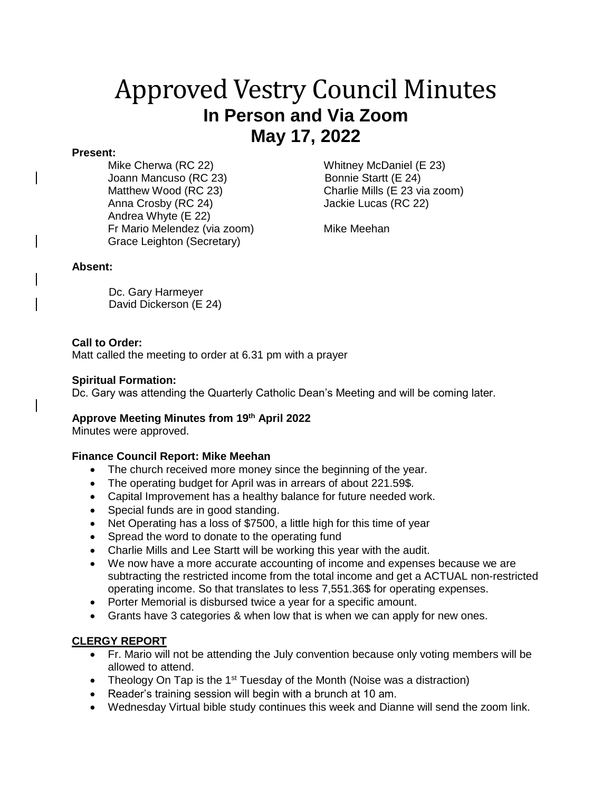# Approved Vestry Council Minutes **In Person and Via Zoom May 17, 2022**

#### **Present:**

Mike Cherwa (RC 22) Whitney McDaniel (E 23) Joann Mancuso (RC 23) Bonnie Startt (E 24) Matthew Wood (RC 23) Charlie Mills (E 23 via zoom) Anna Crosby (RC 24) Jackie Lucas (RC 22) Andrea Whyte (E 22) Fr Mario Melendez (via zoom) Mike Meehan Grace Leighton (Secretary)

## **Absent:**

 Dc. Gary Harmeyer David Dickerson (E 24)

## **Call to Order:**

Matt called the meeting to order at 6.31 pm with a prayer

#### **Spiritual Formation:**

Dc. Gary was attending the Quarterly Catholic Dean's Meeting and will be coming later.

## **Approve Meeting Minutes from 19 th April 2022**

Minutes were approved.

## **Finance Council Report: Mike Meehan**

- The church received more money since the beginning of the year.
- The operating budget for April was in arrears of about 221.59\$.
- Capital Improvement has a healthy balance for future needed work.
- Special funds are in good standing.
- Net Operating has a loss of \$7500, a little high for this time of year
- Spread the word to donate to the operating fund
- Charlie Mills and Lee Startt will be working this year with the audit.
- We now have a more accurate accounting of income and expenses because we are subtracting the restricted income from the total income and get a ACTUAL non-restricted operating income. So that translates to less 7,551.36\$ for operating expenses.
- Porter Memorial is disbursed twice a year for a specific amount.
- Grants have 3 categories & when low that is when we can apply for new ones.

## **CLERGY REPORT**

- Fr. Mario will not be attending the July convention because only voting members will be allowed to attend.
- Theology On Tap is the 1<sup>st</sup> Tuesday of the Month (Noise was a distraction)
- Reader's training session will begin with a brunch at 10 am.
- Wednesday Virtual bible study continues this week and Dianne will send the zoom link.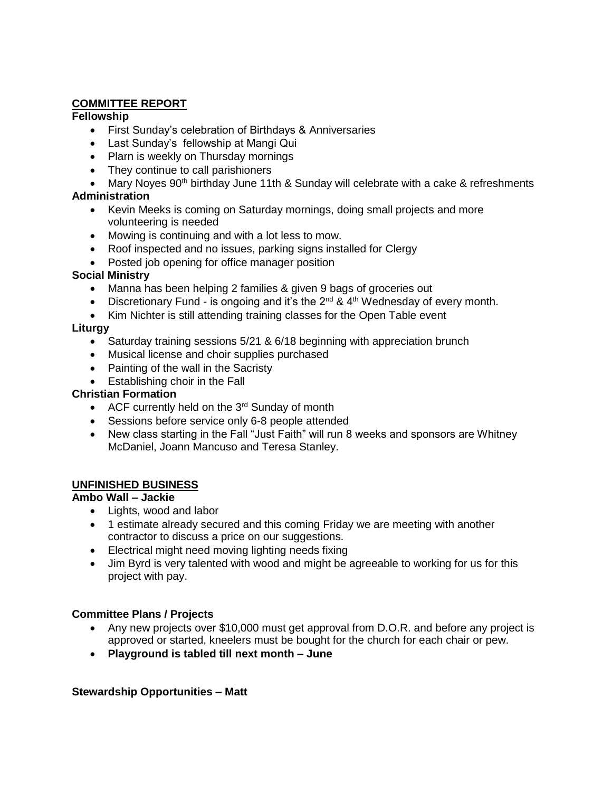# **COMMITTEE REPORT**

## **Fellowship**

- First Sunday's celebration of Birthdays & Anniversaries
- Last Sunday's fellowship at Mangi Qui
- Plarn is weekly on Thursday mornings
- They continue to call parishioners
- Mary Noyes 90<sup>th</sup> birthday June 11th & Sunday will celebrate with a cake & refreshments

# **Administration**

- Kevin Meeks is coming on Saturday mornings, doing small projects and more volunteering is needed
- Mowing is continuing and with a lot less to mow.
- Roof inspected and no issues, parking signs installed for Clergy
- Posted job opening for office manager position

## **Social Ministry**

- Manna has been helping 2 families & given 9 bags of groceries out
- Discretionary Fund is ongoing and it's the  $2^{nd}$  &  $4^{th}$  Wednesday of every month.
- Kim Nichter is still attending training classes for the Open Table event

## **Liturgy**

- Saturday training sessions 5/21 & 6/18 beginning with appreciation brunch
- Musical license and choir supplies purchased
- Painting of the wall in the Sacristy
- Establishing choir in the Fall

## **Christian Formation**

- ACF currently held on the  $3<sup>rd</sup>$  Sunday of month
- Sessions before service only 6-8 people attended
- New class starting in the Fall "Just Faith" will run 8 weeks and sponsors are Whitney McDaniel, Joann Mancuso and Teresa Stanley.

## **UNFINISHED BUSINESS**

## **Ambo Wall – Jackie**

- Lights, wood and labor
- 1 estimate already secured and this coming Friday we are meeting with another contractor to discuss a price on our suggestions.
- Electrical might need moving lighting needs fixing
- Jim Byrd is very talented with wood and might be agreeable to working for us for this project with pay.

## **Committee Plans / Projects**

- Any new projects over \$10,000 must get approval from D.O.R. and before any project is approved or started, kneelers must be bought for the church for each chair or pew.
- **Playground is tabled till next month – June**

## **Stewardship Opportunities – Matt**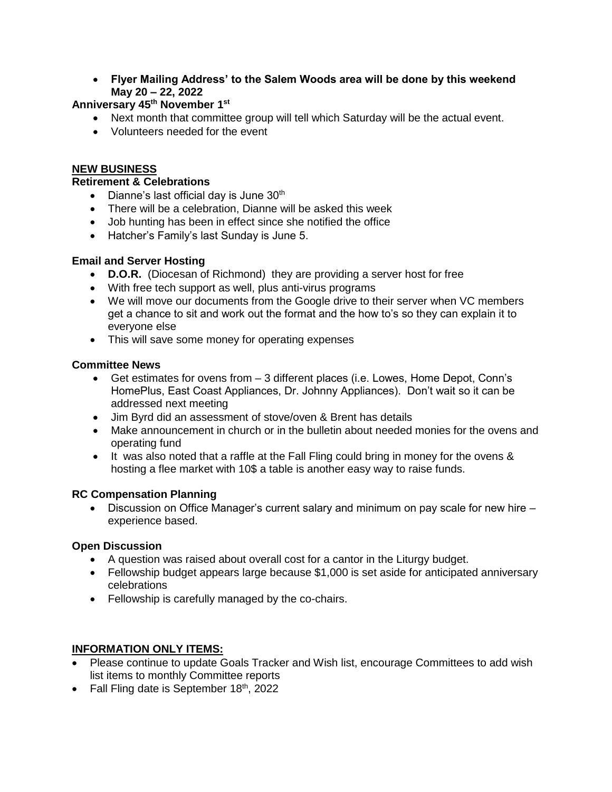• **Flyer Mailing Address' to the Salem Woods area will be done by this weekend May 20 – 22, 2022**

# **Anniversary 45th November 1st**

- Next month that committee group will tell which Saturday will be the actual event.
- Volunteers needed for the event

# **NEW BUSINESS**

## **Retirement & Celebrations**

- Dianne's last official day is June  $30<sup>th</sup>$
- There will be a celebration, Dianne will be asked this week
- Job hunting has been in effect since she notified the office
- Hatcher's Family's last Sunday is June 5.

## **Email and Server Hosting**

- **D.O.R.** (Diocesan of Richmond) they are providing a server host for free
- With free tech support as well, plus anti-virus programs
- We will move our documents from the Google drive to their server when VC members get a chance to sit and work out the format and the how to's so they can explain it to everyone else
- This will save some money for operating expenses

## **Committee News**

- Get estimates for ovens from 3 different places (i.e. Lowes, Home Depot, Conn's HomePlus, East Coast Appliances, Dr. Johnny Appliances). Don't wait so it can be addressed next meeting
- Jim Byrd did an assessment of stove/oven & Brent has details
- Make announcement in church or in the bulletin about needed monies for the ovens and operating fund
- It was also noted that a raffle at the Fall Fling could bring in money for the ovens & hosting a flee market with 10\$ a table is another easy way to raise funds.

## **RC Compensation Planning**

 $\bullet$  Discussion on Office Manager's current salary and minimum on pay scale for new hire  $$ experience based.

## **Open Discussion**

- A question was raised about overall cost for a cantor in the Liturgy budget.
- Fellowship budget appears large because \$1,000 is set aside for anticipated anniversary celebrations
- Fellowship is carefully managed by the co-chairs.

## **INFORMATION ONLY ITEMS:**

- Please continue to update Goals Tracker and Wish list, encourage Committees to add wish list items to monthly Committee reports
- Fall Fling date is September  $18<sup>th</sup>$ , 2022